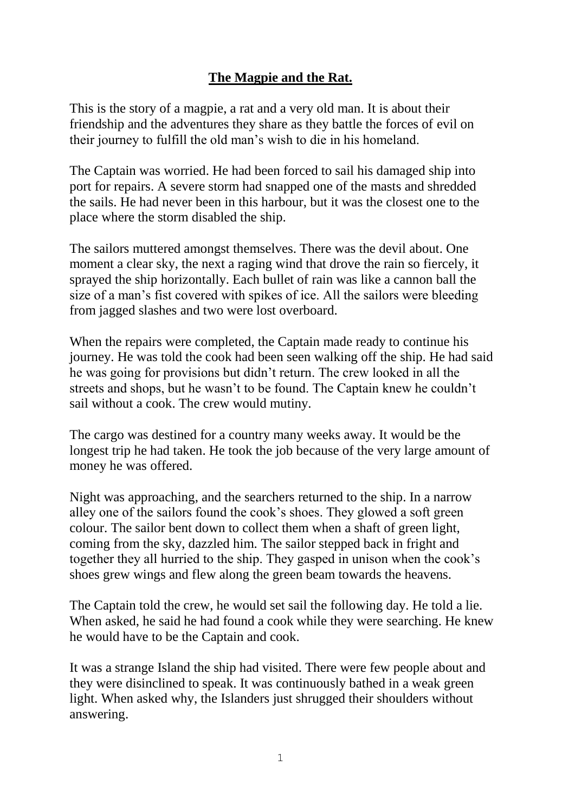## **The Magpie and the Rat.**

This is the story of a magpie, a rat and a very old man. It is about their friendship and the adventures they share as they battle the forces of evil on their journey to fulfill the old man's wish to die in his homeland.

The Captain was worried. He had been forced to sail his damaged ship into port for repairs. A severe storm had snapped one of the masts and shredded the sails. He had never been in this harbour, but it was the closest one to the place where the storm disabled the ship.

The sailors muttered amongst themselves. There was the devil about. One moment a clear sky, the next a raging wind that drove the rain so fiercely, it sprayed the ship horizontally. Each bullet of rain was like a cannon ball the size of a man's fist covered with spikes of ice. All the sailors were bleeding from jagged slashes and two were lost overboard.

When the repairs were completed, the Captain made ready to continue his journey. He was told the cook had been seen walking off the ship. He had said he was going for provisions but didn't return. The crew looked in all the streets and shops, but he wasn't to be found. The Captain knew he couldn't sail without a cook. The crew would mutiny.

The cargo was destined for a country many weeks away. It would be the longest trip he had taken. He took the job because of the very large amount of money he was offered.

Night was approaching, and the searchers returned to the ship. In a narrow alley one of the sailors found the cook's shoes. They glowed a soft green colour. The sailor bent down to collect them when a shaft of green light, coming from the sky, dazzled him. The sailor stepped back in fright and together they all hurried to the ship. They gasped in unison when the cook's shoes grew wings and flew along the green beam towards the heavens.

The Captain told the crew, he would set sail the following day. He told a lie. When asked, he said he had found a cook while they were searching. He knew he would have to be the Captain and cook.

It was a strange Island the ship had visited. There were few people about and they were disinclined to speak. It was continuously bathed in a weak green light. When asked why, the Islanders just shrugged their shoulders without answering.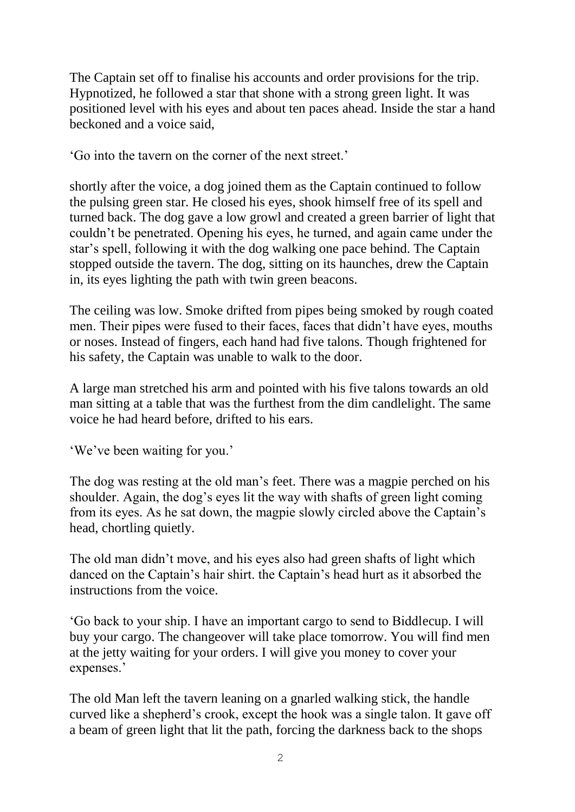The Captain set off to finalise his accounts and order provisions for the trip. Hypnotized, he followed a star that shone with a strong green light. It was positioned level with his eyes and about ten paces ahead. Inside the star a hand beckoned and a voice said,

'Go into the tavern on the corner of the next street.'

shortly after the voice, a dog joined them as the Captain continued to follow the pulsing green star. He closed his eyes, shook himself free of its spell and turned back. The dog gave a low growl and created a green barrier of light that couldn't be penetrated. Opening his eyes, he turned, and again came under the star's spell, following it with the dog walking one pace behind. The Captain stopped outside the tavern. The dog, sitting on its haunches, drew the Captain in, its eyes lighting the path with twin green beacons.

The ceiling was low. Smoke drifted from pipes being smoked by rough coated men. Their pipes were fused to their faces, faces that didn't have eyes, mouths or noses. Instead of fingers, each hand had five talons. Though frightened for his safety, the Captain was unable to walk to the door.

A large man stretched his arm and pointed with his five talons towards an old man sitting at a table that was the furthest from the dim candlelight. The same voice he had heard before, drifted to his ears.

'We've been waiting for you.'

The dog was resting at the old man's feet. There was a magpie perched on his shoulder. Again, the dog's eyes lit the way with shafts of green light coming from its eyes. As he sat down, the magpie slowly circled above the Captain's head, chortling quietly.

The old man didn't move, and his eyes also had green shafts of light which danced on the Captain's hair shirt. the Captain's head hurt as it absorbed the instructions from the voice.

'Go back to your ship. I have an important cargo to send to Biddlecup. I will buy your cargo. The changeover will take place tomorrow. You will find men at the jetty waiting for your orders. I will give you money to cover your expenses.'

The old Man left the tavern leaning on a gnarled walking stick, the handle curved like a shepherd's crook, except the hook was a single talon. It gave off a beam of green light that lit the path, forcing the darkness back to the shops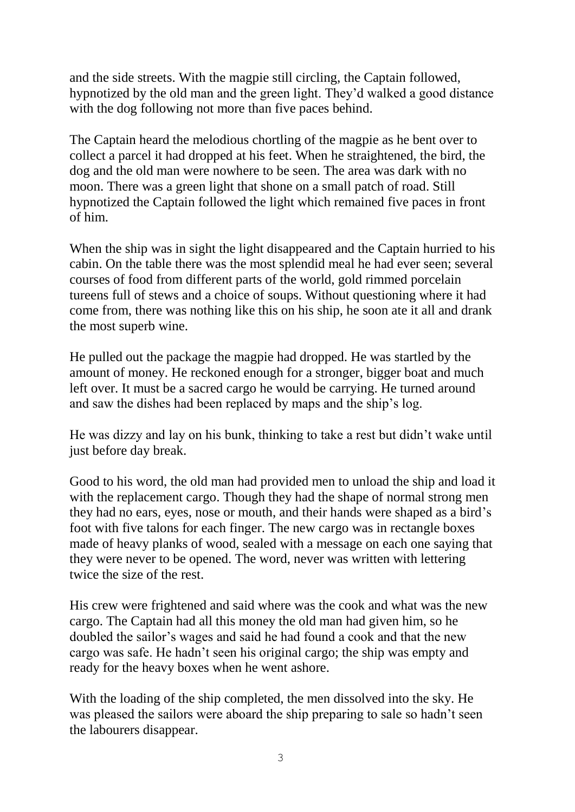and the side streets. With the magpie still circling, the Captain followed, hypnotized by the old man and the green light. They'd walked a good distance with the dog following not more than five paces behind.

The Captain heard the melodious chortling of the magpie as he bent over to collect a parcel it had dropped at his feet. When he straightened, the bird, the dog and the old man were nowhere to be seen. The area was dark with no moon. There was a green light that shone on a small patch of road. Still hypnotized the Captain followed the light which remained five paces in front of him.

When the ship was in sight the light disappeared and the Captain hurried to his cabin. On the table there was the most splendid meal he had ever seen; several courses of food from different parts of the world, gold rimmed porcelain tureens full of stews and a choice of soups. Without questioning where it had come from, there was nothing like this on his ship, he soon ate it all and drank the most superb wine.

He pulled out the package the magpie had dropped. He was startled by the amount of money. He reckoned enough for a stronger, bigger boat and much left over. It must be a sacred cargo he would be carrying. He turned around and saw the dishes had been replaced by maps and the ship's log.

He was dizzy and lay on his bunk, thinking to take a rest but didn't wake until just before day break.

Good to his word, the old man had provided men to unload the ship and load it with the replacement cargo. Though they had the shape of normal strong men they had no ears, eyes, nose or mouth, and their hands were shaped as a bird's foot with five talons for each finger. The new cargo was in rectangle boxes made of heavy planks of wood, sealed with a message on each one saying that they were never to be opened. The word, never was written with lettering twice the size of the rest.

His crew were frightened and said where was the cook and what was the new cargo. The Captain had all this money the old man had given him, so he doubled the sailor's wages and said he had found a cook and that the new cargo was safe. He hadn't seen his original cargo; the ship was empty and ready for the heavy boxes when he went ashore.

With the loading of the ship completed, the men dissolved into the sky. He was pleased the sailors were aboard the ship preparing to sale so hadn't seen the labourers disappear.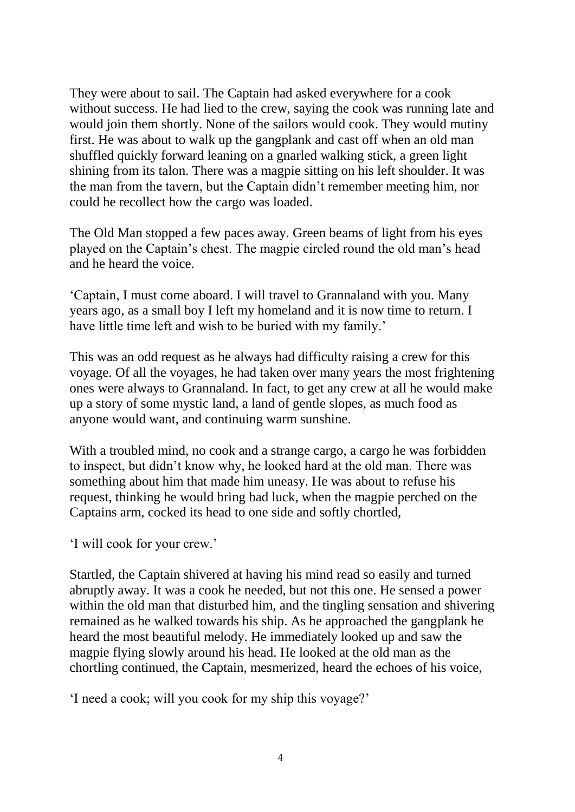They were about to sail. The Captain had asked everywhere for a cook without success. He had lied to the crew, saying the cook was running late and would join them shortly. None of the sailors would cook. They would mutiny first. He was about to walk up the gangplank and cast off when an old man shuffled quickly forward leaning on a gnarled walking stick, a green light shining from its talon. There was a magpie sitting on his left shoulder. It was the man from the tavern, but the Captain didn't remember meeting him, nor could he recollect how the cargo was loaded.

The Old Man stopped a few paces away. Green beams of light from his eyes played on the Captain's chest. The magpie circled round the old man's head and he heard the voice.

'Captain, I must come aboard. I will travel to Grannaland with you. Many years ago, as a small boy I left my homeland and it is now time to return. I have little time left and wish to be buried with my family.'

This was an odd request as he always had difficulty raising a crew for this voyage. Of all the voyages, he had taken over many years the most frightening ones were always to Grannaland. In fact, to get any crew at all he would make up a story of some mystic land, a land of gentle slopes, as much food as anyone would want, and continuing warm sunshine.

With a troubled mind, no cook and a strange cargo, a cargo he was forbidden to inspect, but didn't know why, he looked hard at the old man. There was something about him that made him uneasy. He was about to refuse his request, thinking he would bring bad luck, when the magpie perched on the Captains arm, cocked its head to one side and softly chortled,

'I will cook for your crew.'

Startled, the Captain shivered at having his mind read so easily and turned abruptly away. It was a cook he needed, but not this one. He sensed a power within the old man that disturbed him, and the tingling sensation and shivering remained as he walked towards his ship. As he approached the gangplank he heard the most beautiful melody. He immediately looked up and saw the magpie flying slowly around his head. He looked at the old man as the chortling continued, the Captain, mesmerized, heard the echoes of his voice,

'I need a cook; will you cook for my ship this voyage?'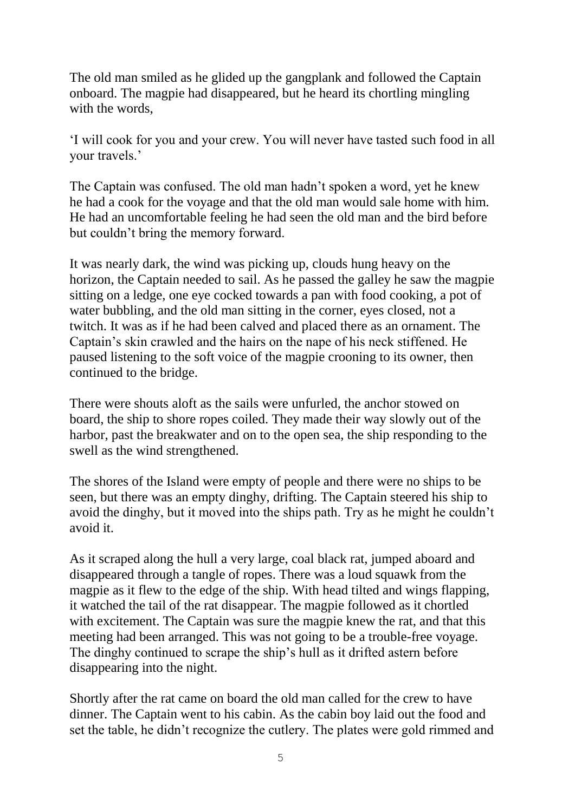The old man smiled as he glided up the gangplank and followed the Captain onboard. The magpie had disappeared, but he heard its chortling mingling with the words.

'I will cook for you and your crew. You will never have tasted such food in all your travels.'

The Captain was confused. The old man hadn't spoken a word, yet he knew he had a cook for the voyage and that the old man would sale home with him. He had an uncomfortable feeling he had seen the old man and the bird before but couldn't bring the memory forward.

It was nearly dark, the wind was picking up, clouds hung heavy on the horizon, the Captain needed to sail. As he passed the galley he saw the magpie sitting on a ledge, one eye cocked towards a pan with food cooking, a pot of water bubbling, and the old man sitting in the corner, eyes closed, not a twitch. It was as if he had been calved and placed there as an ornament. The Captain's skin crawled and the hairs on the nape of his neck stiffened. He paused listening to the soft voice of the magpie crooning to its owner, then continued to the bridge.

There were shouts aloft as the sails were unfurled, the anchor stowed on board, the ship to shore ropes coiled. They made their way slowly out of the harbor, past the breakwater and on to the open sea, the ship responding to the swell as the wind strengthened.

The shores of the Island were empty of people and there were no ships to be seen, but there was an empty dinghy, drifting. The Captain steered his ship to avoid the dinghy, but it moved into the ships path. Try as he might he couldn't avoid it.

As it scraped along the hull a very large, coal black rat, jumped aboard and disappeared through a tangle of ropes. There was a loud squawk from the magpie as it flew to the edge of the ship. With head tilted and wings flapping, it watched the tail of the rat disappear. The magpie followed as it chortled with excitement. The Captain was sure the magpie knew the rat, and that this meeting had been arranged. This was not going to be a trouble-free voyage. The dinghy continued to scrape the ship's hull as it drifted astern before disappearing into the night.

Shortly after the rat came on board the old man called for the crew to have dinner. The Captain went to his cabin. As the cabin boy laid out the food and set the table, he didn't recognize the cutlery. The plates were gold rimmed and